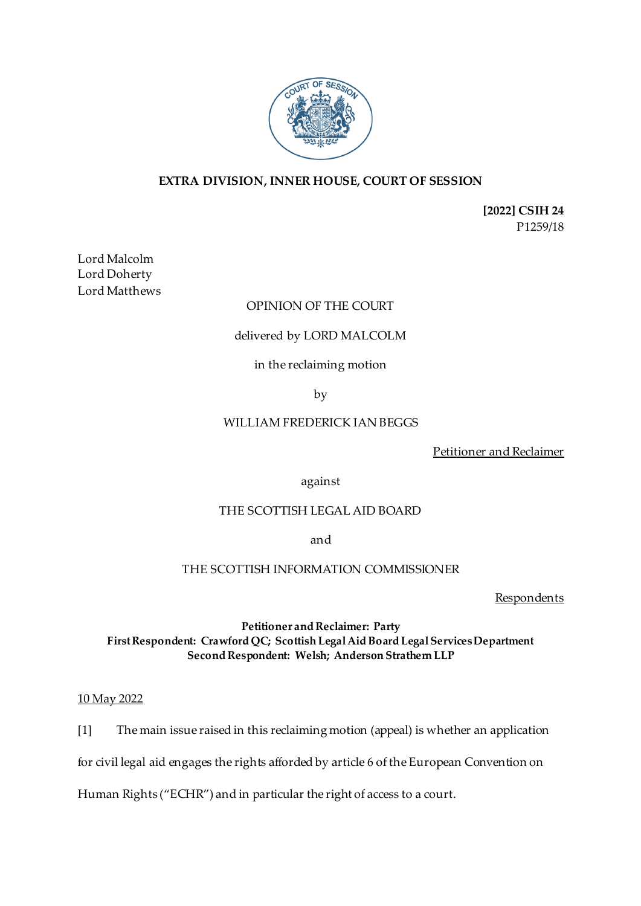

# **EXTRA DIVISION, INNER HOUSE, COURT OF SESSION**

**[2022] CSIH 24** P1259/18

Lord Malcolm Lord Doherty Lord Matthews

### OPINION OF THE COURT

### delivered by LORD MALCOLM

# in the reclaiming motion

by

# WILLIAM FREDERICK IAN BEGGS

Petitioner and Reclaimer

against

### THE SCOTTISH LEGAL AID BOARD

and

# THE SCOTTISH INFORMATION COMMISSIONER

**Respondents** 

# **Petitioner and Reclaimer: Party First Respondent: Crawford QC; Scottish Legal Aid Board Legal Services Department Second Respondent: Welsh; Anderson Strathern LLP**

### 10 May 2022

[1] The main issue raised in this reclaiming motion (appeal) is whether an application

for civil legal aid engages the rights afforded by article 6 of the European Convention on

Human Rights ("ECHR") and in particular the right of access to a court.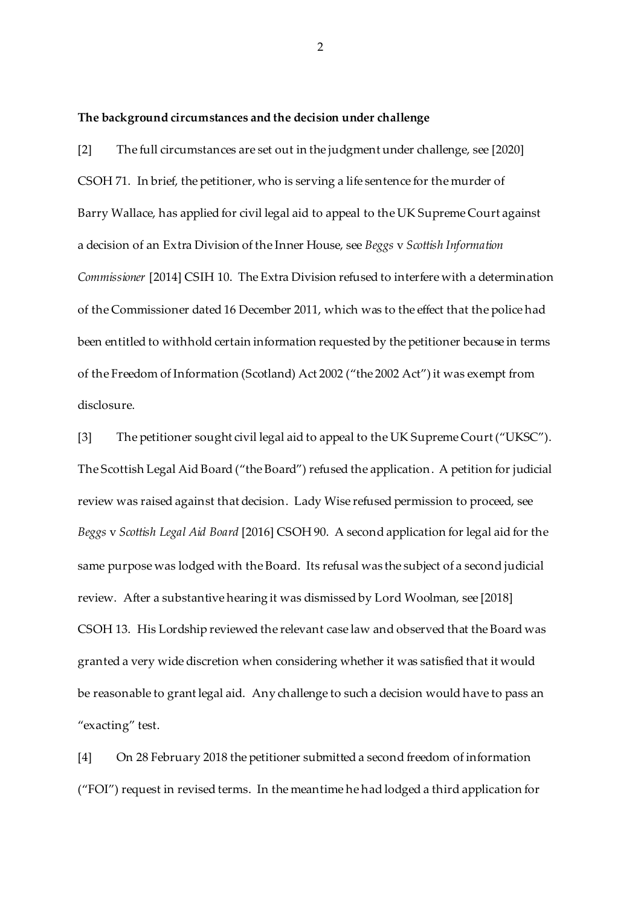**The background circumstances and the decision under challenge**

[2] The full circumstances are set out in the judgment under challenge, see [2020] CSOH 71. In brief, the petitioner, who is serving a life sentence for the murder of Barry Wallace, has applied for civil legal aid to appeal to the UK Supreme Court against a decision of an Extra Division of the Inner House, see *Beggs* v *Scottish Information Commissioner* [2014] CSIH 10. The Extra Division refused to interfere with a determination of the Commissioner dated 16 December 2011, which was to the effect that the police had been entitled to withhold certain information requested by the petitioner because in terms of the Freedom of Information (Scotland) Act 2002 ("the 2002 Act") it was exempt from disclosure.

[3] The petitioner sought civil legal aid to appeal to the UK Supreme Court ("UKSC"). The Scottish Legal Aid Board ("the Board") refused the application. A petition for judicial review was raised against that decision. Lady Wise refused permission to proceed, see *Beggs* v *Scottish Legal Aid Board* [2016] CSOH 90. A second application for legal aid for the same purpose was lodged with the Board. Its refusal was the subject of a second judicial review. After a substantive hearing it was dismissed by Lord Woolman, see [2018] CSOH 13. His Lordship reviewed the relevant case law and observed that the Board was granted a very wide discretion when considering whether it was satisfied that it would be reasonable to grant legal aid. Any challenge to such a decision would have to pass an "exacting" test.

[4] On 28 February 2018 the petitioner submitted a second freedom of information ("FOI") request in revised terms. In the meantime he had lodged a third application for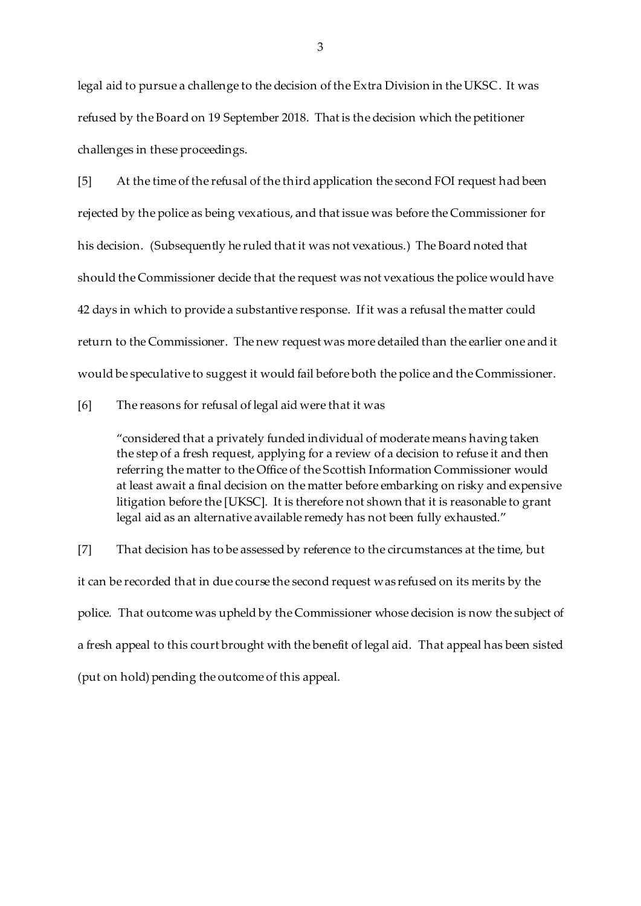legal aid to pursue a challenge to the decision of the Extra Division in the UKSC. It was refused by the Board on 19 September 2018. That is the decision which the petitioner challenges in these proceedings.

[5] At the time of the refusal of the third application the second FOI request had been rejected by the police as being vexatious, and that issue was before the Commissioner for his decision. (Subsequently he ruled that it was not vexatious.) The Board noted that should the Commissioner decide that the request was not vexatious the police would have 42 days in which to provide a substantive response. If it was a refusal the matter could return to the Commissioner. The new request was more detailed than the earlier one and it would be speculative to suggest it would fail before both the police and the Commissioner.

[6] The reasons for refusal of legal aid were that it was

"considered that a privately funded individual of moderate means having taken the step of a fresh request, applying for a review of a decision to refuse it and then referring the matter to the Office of the Scottish Information Commissioner would at least await a final decision on the matter before embarking on risky and expensive litigation before the [UKSC]. It is therefore not shown that it is reasonable to grant legal aid as an alternative available remedy has not been fully exhausted."

[7] That decision has to be assessed by reference to the circumstances at the time, but it can be recorded that in due course the second request was refused on its merits by the police. That outcome was upheld by the Commissioner whose decision is now the subject of a fresh appeal to this court brought with the benefit of legal aid. That appeal has been sisted (put on hold) pending the outcome of this appeal.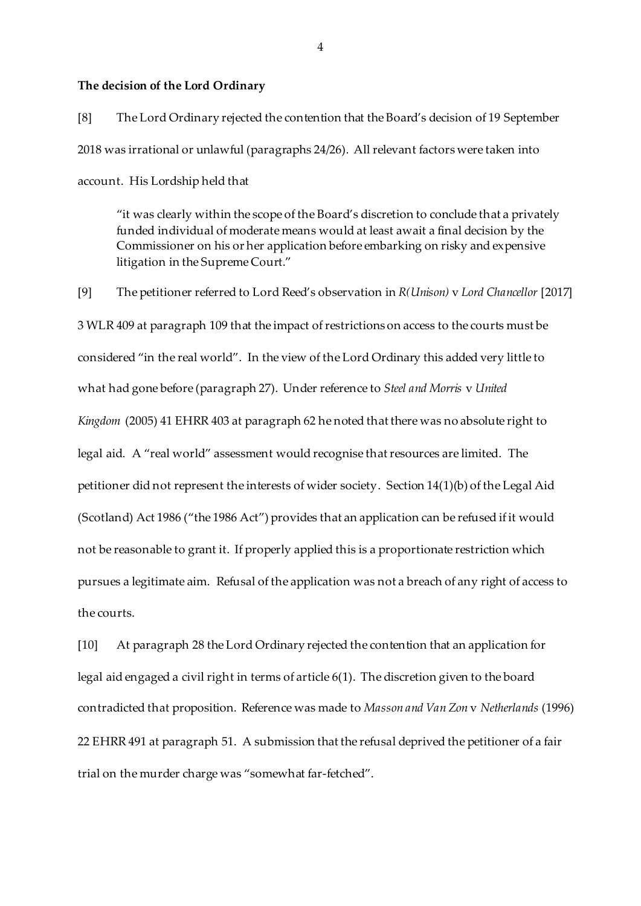#### **The decision of the Lord Ordinary**

[8] The Lord Ordinary rejected the contention that the Board's decision of 19 September 2018 was irrational or unlawful (paragraphs 24/26). All relevant factors were taken into account. His Lordship held that

"it was clearly within the scope of the Board's discretion to conclude that a privately funded individual of moderate means would at least await a final decision by the Commissioner on his or her application before embarking on risky and expensive litigation in the Supreme Court."

[9] The petitioner referred to Lord Reed's observation in *R(Unison)* v *Lord Chancellor* [2017] 3 WLR 409 at paragraph 109 that the impact of restrictions on access to the courts must be considered "in the real world". In the view of the Lord Ordinary this added very little to what had gone before (paragraph 27). Under reference to *Steel and Morris* v *United Kingdom* (2005) 41 EHRR 403 at paragraph 62 he noted that there was no absolute right to legal aid. A "real world" assessment would recognise that resources are limited. The petitioner did not represent the interests of wider society. Section 14(1)(b) of the Legal Aid (Scotland) Act 1986 ("the 1986 Act") provides that an application can be refused if it would not be reasonable to grant it. If properly applied this is a proportionate restriction which pursues a legitimate aim. Refusal of the application was not a breach of any right of access to the courts.

[10] At paragraph 28 the Lord Ordinary rejected the contention that an application for legal aid engaged a civil right in terms of article 6(1). The discretion given to the board contradicted that proposition. Reference was made to *Masson and Van Zon* v *Netherlands* (1996) 22 EHRR 491 at paragraph 51. A submission that the refusal deprived the petitioner of a fair trial on the murder charge was "somewhat far-fetched".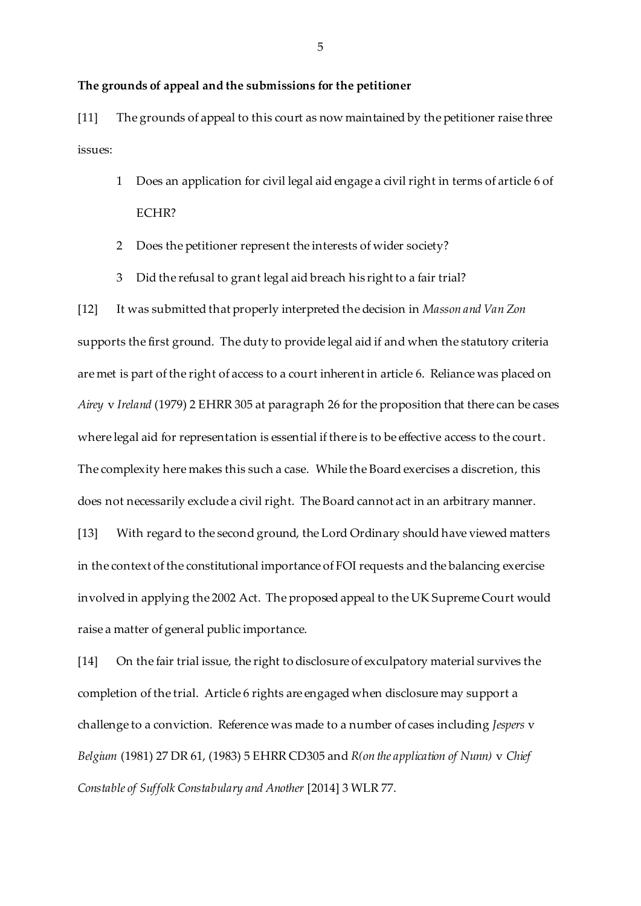# **The grounds of appeal and the submissions for the petitioner**

[11] The grounds of appeal to this court as now maintained by the petitioner raise three issues:

- 1 Does an application for civil legal aid engage a civil right in terms of article 6 of ECHR?
- 2 Does the petitioner represent the interests of wider society?
- 3 Did the refusal to grant legal aid breach his right to a fair trial?

[12] It was submitted that properly interpreted the decision in *Masson and Van Zon* supports the first ground. The duty to provide legal aid if and when the statutory criteria are met is part of the right of access to a court inherent in article 6. Reliance was placed on *Airey* v *Ireland* (1979) 2 EHRR 305 at paragraph 26 for the proposition that there can be cases where legal aid for representation is essential if there is to be effective access to the court. The complexity here makes this such a case. While the Board exercises a discretion, this does not necessarily exclude a civil right. The Board cannot act in an arbitrary manner. [13] With regard to the second ground, the Lord Ordinary should have viewed matters

in the context of the constitutional importance of FOI requests and the balancing exercise involved in applying the 2002 Act. The proposed appeal to the UK Supreme Court would raise a matter of general public importance.

[14] On the fair trial issue, the right to disclosure of exculpatory material survives the completion of the trial. Article 6 rights are engaged when disclosure may support a challenge to a conviction. Reference was made to a number of cases including *Jespers* v *Belgium* (1981) 27 DR 61, (1983) 5 EHRR CD305 and *R(on the application of Nunn)* v *Chief Constable of Suffolk Constabulary and Another* [2014] 3 WLR 77.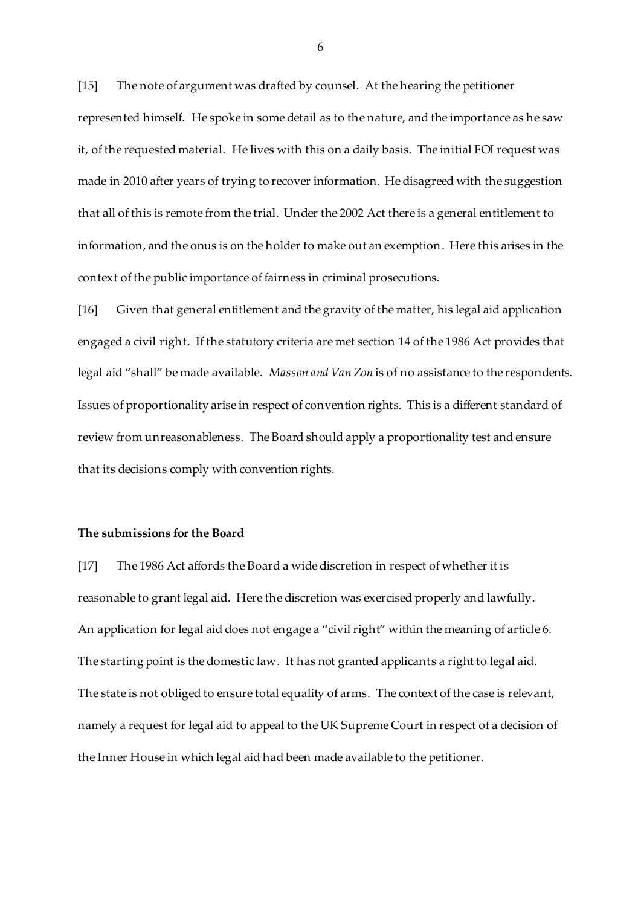[15] The note of argument was drafted by counsel. At the hearing the petitioner represented himself. He spoke in some detail as to the nature, and the importance as he saw it, of the requested material. He lives with this on a daily basis. The initial FOI request was made in 2010 after years of trying to recover information. He disagreed with the suggestion that all of this is remote from the trial. Under the 2002 Act there is a general entitlement to information, and the onus is on the holder to make out an exemption. Here this arises in the context of the public importance of fairness in criminal prosecutions.

[16] Given that general entitlement and the gravity of the matter, his legal aid application engaged a civil right. If the statutory criteria are met section 14 of the 1986 Act provides that legal aid "shall" be made available. *Masson and Van Zon* is of no assistance to the respondents. Issues of proportionality arise in respect of convention rights. This is a different standard of review from unreasonableness. The Board should apply a proportionality test and ensure that its decisions comply with convention rights.

#### **The submissions for the Board**

[17] The 1986 Act affords the Board a wide discretion in respect of whether it is reasonable to grant legal aid. Here the discretion was exercised properly and lawfully. An application for legal aid does not engage a "civil right" within the meaning of article 6. The starting point is the domestic law. It has not granted applicants a right to legal aid. The state is not obliged to ensure total equality of arms. The context of the case is relevant, namely a request for legal aid to appeal to the UK Supreme Court in respect of a decision of the Inner House in which legal aid had been made available to the petitioner.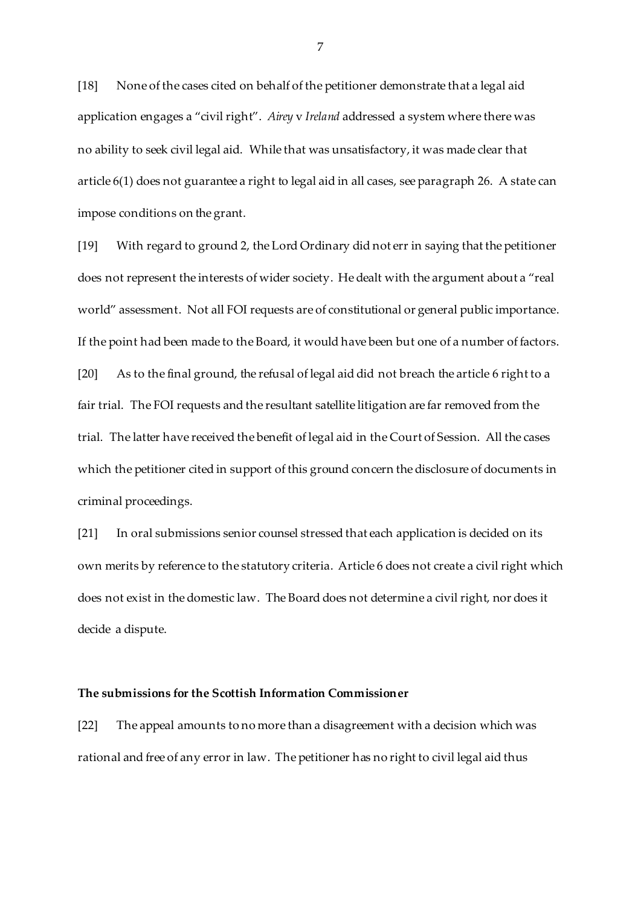[18] None of the cases cited on behalf of the petitioner demonstrate that a legal aid application engages a "civil right". *Airey* v *Ireland* addressed a system where there was no ability to seek civil legal aid. While that was unsatisfactory, it was made clear that article 6(1) does not guarantee a right to legal aid in all cases, see paragraph 26. A state can impose conditions on the grant.

[19] With regard to ground 2, the Lord Ordinary did not err in saying that the petitioner does not represent the interests of wider society. He dealt with the argument about a "real world" assessment. Not all FOI requests are of constitutional or general public importance. If the point had been made to the Board, it would have been but one of a number of factors. [20] As to the final ground, the refusal of legal aid did not breach the article 6 right to a fair trial. The FOI requests and the resultant satellite litigation are far removed from the trial. The latter have received the benefit of legal aid in the Court of Session. All the cases which the petitioner cited in support of this ground concern the disclosure of documents in criminal proceedings.

[21] In oral submissions senior counsel stressed that each application is decided on its own merits by reference to the statutory criteria. Article 6 does not create a civil right which does not exist in the domestic law. The Board does not determine a civil right, nor does it decide a dispute.

#### **The submissions for the Scottish Information Commissioner**

[22] The appeal amounts to no more than a disagreement with a decision which was rational and free of any error in law. The petitioner has no right to civil legal aid thus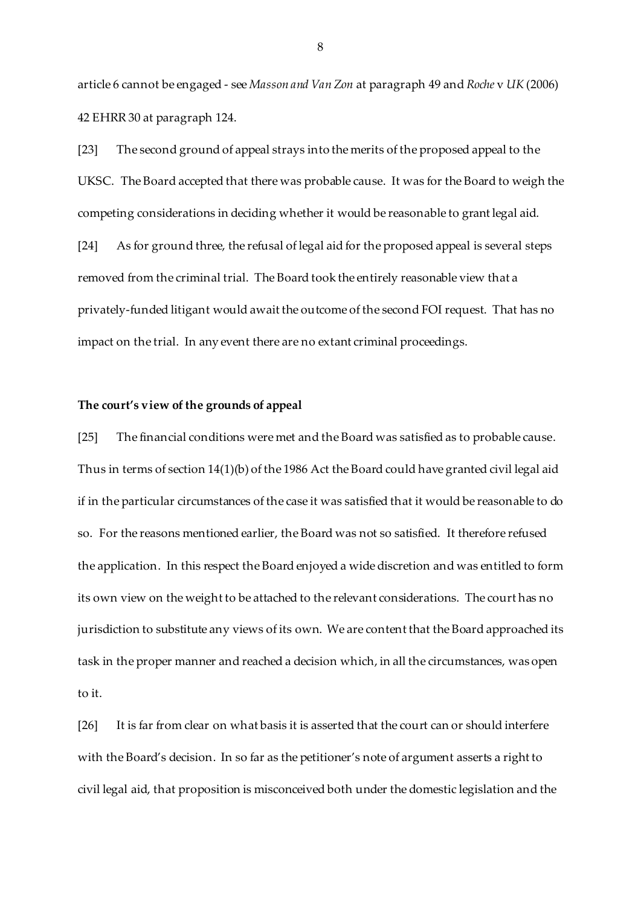article 6 cannot be engaged - see *Masson and Van Zon* at paragraph 49 and *Roche* v *UK* (2006) 42 EHRR 30 at paragraph 124.

[23] The second ground of appeal strays into the merits of the proposed appeal to the UKSC. The Board accepted that there was probable cause. It was for the Board to weigh the competing considerations in deciding whether it would be reasonable to grant legal aid. [24] As for ground three, the refusal of legal aid for the proposed appeal is several steps removed from the criminal trial. The Board took the entirely reasonable view that a privately-funded litigant would await the outcome of the second FOI request. That has no impact on the trial. In any event there are no extant criminal proceedings.

#### **The court's view of the grounds of appeal**

[25] The financial conditions were met and the Board was satisfied as to probable cause. Thus in terms of section 14(1)(b) of the 1986 Act the Board could have granted civil legal aid if in the particular circumstances of the case it was satisfied that it would be reasonable to do so. For the reasons mentioned earlier, the Board was not so satisfied. It therefore refused the application. In this respect the Board enjoyed a wide discretion and was entitled to form its own view on the weight to be attached to the relevant considerations. The court has no jurisdiction to substitute any views of its own. We are content that the Board approached its task in the proper manner and reached a decision which, in all the circumstances, was open to it.

[26] It is far from clear on what basis it is asserted that the court can or should interfere with the Board's decision. In so far as the petitioner's note of argument asserts a right to civil legal aid, that proposition is misconceived both under the domestic legislation and the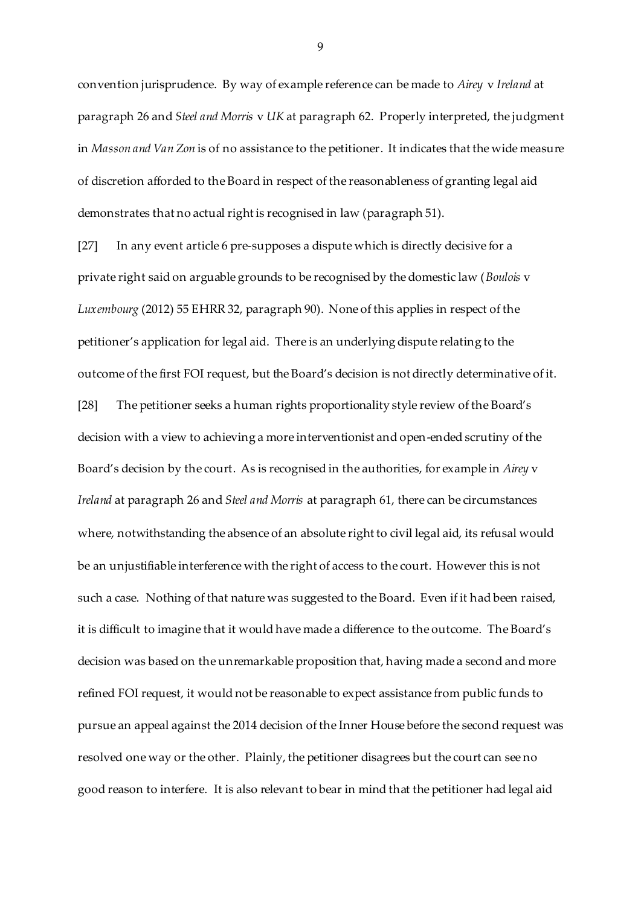convention jurisprudence. By way of example reference can be made to *Airey* v *Ireland* at paragraph 26 and *Steel and Morris* v *UK* at paragraph 62. Properly interpreted, the judgment in *Masson and Van Zon* is of no assistance to the petitioner. It indicates that the wide measure of discretion afforded to the Board in respect of the reasonableness of granting legal aid demonstrates that no actual right is recognised in law (paragraph 51).

[27] In any event article 6 pre-supposes a dispute which is directly decisive for a private right said on arguable grounds to be recognised by the domestic law (*Boulois* v *Luxembourg* (2012) 55 EHRR 32, paragraph 90). None of this applies in respect of the petitioner's application for legal aid. There is an underlying dispute relating to the outcome of the first FOI request, but the Board's decision is not directly determinative of it. [28] The petitioner seeks a human rights proportionality style review of the Board's decision with a view to achieving a more interventionist and open-ended scrutiny of the Board's decision by the court. As is recognised in the authorities, for example in *Airey* v *Ireland* at paragraph 26 and *Steel and Morris* at paragraph 61, there can be circumstances where, notwithstanding the absence of an absolute right to civil legal aid, its refusal would be an unjustifiable interference with the right of access to the court. However this is not such a case. Nothing of that nature was suggested to the Board. Even if it had been raised, it is difficult to imagine that it would have made a difference to the outcome. The Board's decision was based on the unremarkable proposition that, having made a second and more refined FOI request, it would not be reasonable to expect assistance from public funds to pursue an appeal against the 2014 decision of the Inner House before the second request was resolved one way or the other. Plainly, the petitioner disagrees but the court can see no good reason to interfere. It is also relevant to bear in mind that the petitioner had legal aid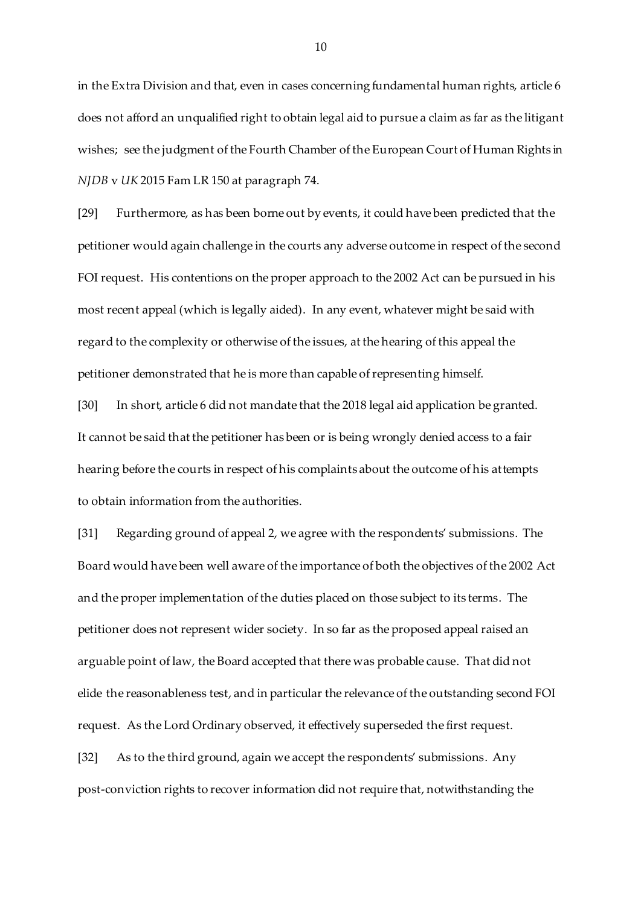in the Extra Division and that, even in cases concerning fundamental human rights, article 6 does not afford an unqualified right to obtain legal aid to pursue a claim as far as the litigant wishes; see the judgment of the Fourth Chamber of the European Court of Human Rights in *NJDB* v *UK* 2015 Fam LR 150 at paragraph 74.

[29] Furthermore, as has been borne out by events, it could have been predicted that the petitioner would again challenge in the courts any adverse outcome in respect of the second FOI request. His contentions on the proper approach to the 2002 Act can be pursued in his most recent appeal (which is legally aided). In any event, whatever might be said with regard to the complexity or otherwise of the issues, at the hearing of this appeal the petitioner demonstrated that he is more than capable of representing himself.

[30] In short, article 6 did not mandate that the 2018 legal aid application be granted. It cannot be said that the petitioner has been or is being wrongly denied access to a fair hearing before the courts in respect of his complaints about the outcome of his attempts to obtain information from the authorities.

[31] Regarding ground of appeal 2, we agree with the respondents' submissions. The Board would have been well aware of the importance of both the objectives of the 2002 Act and the proper implementation of the duties placed on those subject to its terms. The petitioner does not represent wider society. In so far as the proposed appeal raised an arguable point of law, the Board accepted that there was probable cause. That did not elide the reasonableness test, and in particular the relevance of the outstanding second FOI request. As the Lord Ordinary observed, it effectively superseded the first request.

[32] As to the third ground, again we accept the respondents' submissions. Any post-conviction rights to recover information did not require that, notwithstanding the